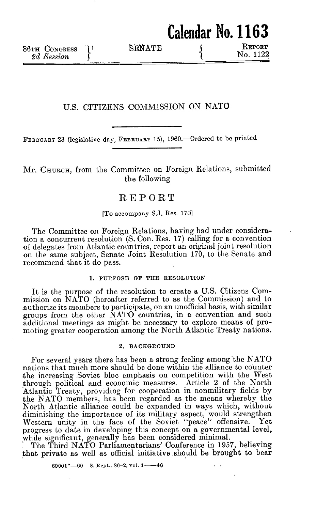**86TH CONGRESS \\ SENATE \ REPORT**<br> **86TH CONGRESS \\ SENATE** \ REPORT No. 1122 **2d** Session

**Calendar No. 1163**

### U.S. CITIZENS COMMISSION ON NATO

**FEBRUARY** 23 (legislative day, **FEBRUARY** 15), 1960.-Ordered to be printed

Mr. **CHURCH,** from the Committee on Foreign Relations, submitted the following

# REPORT

#### [To accompany S.J. Res. 170]

The Committee on Foreign Relations, having had under consideration a concurrent resolution (S. Con. Res. 17) calling for a convention of delegates from Atlantic countries, report an original joint resolution on the same subject, Senate Joint Resolution 170, to the Senate and recommend that it do pass.

#### 1. **PURPOSE OF THE** RESOLUTION

It is the purpose of the resolution to create a U.S. Citizens Commission on NATO (hereafter referred to as the Commission) and to authorize its members to participate, on an unofficial basis, with similar groups from the other NATO countries, in a convention and such additional meetings as might be necessary to explore means of promoting greater cooperation among the North Atlantic Treaty nations.

#### **2. BACKGROUND**

For several years there has been a strong feeling among'the NATO nations that much more should be done within the alliance to counter the increasing Soviet bloc emphasis on competition with the West through political and economic measures. Article 2 of the North Atlantic Treaty, providing for cooperation in nonmilitary fields **by** the NATO members, has been regarded as the means whereby the North Atlantic alliance could be expanded in ways which, without diminishing the importance of its military aspect, would strengthen Western unity in the face of the Soviet "peace" offensive. Yet progress to date in developing this concept on a governmental level, while significant, generally has been considered minimal.

The Third NATO Parliamentarians' Conference in 1957, believing that private as well as official initiative should be brought to bear

**69001\*-60 S.** Rept., **86-2,** vol. **1- 46**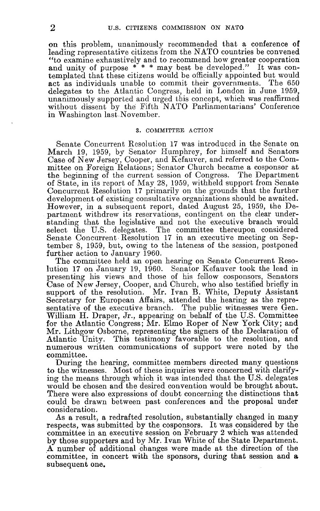on this problem, unanimously recommended that a conference of leading representative citizens from the NATO countries be convened "to examine exhaustively and to recommend how greater cooperation and unity of purpose \* \* \* may best be developed." It was contemplated that these citizens would be officially appointed but would act as individuals unable to commit their governments. The 650 delegates to the Atlantic Congress, held in London in June 1959, unanimously supported and urged this concept, which was reaffirmed without dissent by the Fifth NATO Parliamentarians' Conference in Washington last November.

### **3.** COMMITTEE **ACTION**

Senate Concurrent Resolution 17 was introduced in the Senate on March 19, 1959, by Senator Humphrey, for himself and Senators Case of New Jersey, Cooper, and Kefauver, and referred to the Committee on Foreign Relations; Senator Church became a cosponsor at the beginning of the current session of Congress. The Department of State, in its report of May 28, 1959, withheld support from Senate Concurrent Resolution 17 primarily on the grounds that the further development of existing consultative organizations should be awaited. However, in a subsequent report, dated August 25, 1959, the Department withdrew its reservations, contingent on the clear understanding that the legislative and not the executive branch would select the U.S. delegates. The committee thereupon considered Senate Concurrent Resolution 17 in an executive meeting on September 8, 1959, but, owing to the lateness of the session, postponed further action to January 1960.

The committee held an open hearing on Senate Concurrent Resolution 17 on January 19, 1960. Senator Kefauver took the lead in presenting his views and those of his fellow cosponsors, Senators Case of New Jersey, Cooper, and Church, who also testified briefly in support of the resolution. Mr. Ivan B. White, Deputy Assistant Secretary for European Affairs, attended the hearing as the representative of the executive branch. The public witnesses were Gen. William H. Draper, Jr., appearing on behalf of the U.S. Committee for the Atlantic Congress; Mr. Elmo Roper of New York City; and Mr. Lithgow Osborne, representing the signers of the Declaration of Atlantic Unity. This testimony favorable to the resolution, and numerous written communications of support were noted by the committee.

During the hearing, committee members directed many questions to the witnesses. Most of these inquiries were concerned with clarifying the means through which it was intended that the U.S. delegates would be chosen and the desired convention would be brought about. There were also expressions of doubt concerning the distinctions that could be drawn between past conferences and the proposal under consideration.

As a result, a redrafted resolution, substantially changed in many respects, was submitted by the cosponsors. It was considered by the committee in an executive session on February 2 which was attended by those supporters and by Mr. Ivan White of the State Department. A number of additional changes were made at the direction of the committee, in concert with the sponsors, during that session and a subsequent one.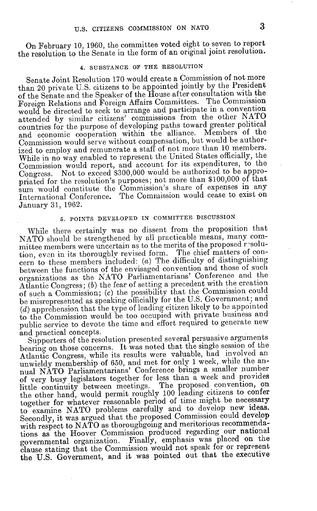On February 10, 1960, the committee voted eight to seven to report the resolution to the Senate in the form of an original joint resolution.

## **4. SUBSTANCE** OF THE **RESOLUTION**

Senate Joint Resolution 170 would create a Commission of not more than 20 private U.S. citizens to be appointed jointly by the President of the Senate and the Speaker of the House after consultation with the Foreign Relations and Foreign Affairs Committees. The Commission would be directed to seek to arrange and participate in a convention attended by similar citizens' commissions from the other NATO countries for the purpose of developing paths toward greater political and economic cooperation within the alliance. Members of the Commission would serve without compensation, but would be authorized to employ and remunerate a staff of not more than **10** members. While in no way enabled to represent the United States officially, the Commission would report, and account for its expenditures, to the Congress. Not to exceed \$300,000 would be authorized to be appropriated for the resolution's purposes; not more than \$100,000 of that sum would constitute the Commission's share of expenses in any International Conference. The Commission would cease to exist on January 31, 1962.

## **5.** POINTS **DEVELOPED IN** COMMITTEE **DISCUSSION**

While there certainly was no dissent from the proposition that NATO should be strengthened by all practicable means, many committee members were uncertain as to the merits of the proposed resolution, even in its thoroughly revised form. The chief matters of concern to these members included:  $(a)$  The difficulty of distinguishing between the functions of the envisaged convention and those of such organizations as the NATO Parliamentarians' Conference and the Atlantic Congress; (b) the fear of setting a precedent with the creation of such a Commission; (c) the possibility that the Commission could be misrepresented as speaking officially for the U.S. Government; and *(d)* apprehension that the type of leading citizen likely to **be** appointed to the Commission would be too occupied with private business and public service to devote the time and effort required to generate new and practical concepts.

Supporters of the resolution presented several persuasive arguments bearing on those concerns. It was noted that the single session of the Atlantic Congress, while its results were valuable, had involved an unwieldy membership of 650, and met for only 1 week, while the annual NATO Parliamentarians' Conference brings a smaller number of very busy legislators together for less than a week and provides little continuity between meetings. The proposed convention, or the other hand, would permit roughly **100** leading citizens to confer together for whatever reasonable period of time might be necessary to examine NATO problems carefully and to develop new ideas. Secondly, it was argued that the proposed Commission could develop with respect to NATO as thoroughgoing and meritorious recommendations as the Hoover Commission produced regarding our national governmental organization. Finally, emphasis was placed on the clause stating that the Commission would not speak for or represent the U.S. Government, and it was pointed out that the executive